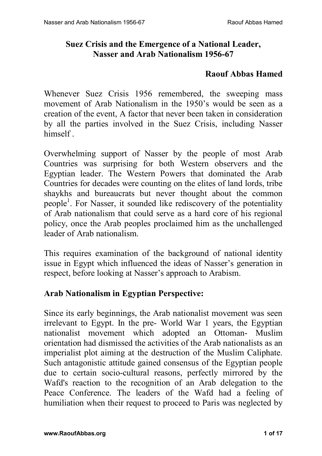## **Suez Crisis and the Emergence of a National Leader, Nasser and Arab Nationalism 1956-67**

#### **Raouf Abbas Hamed**

Whenever Suez Crisis 1956 remembered, the sweeping mass movement of Arab Nationalism in the 1950's would be seen as a creation of the event, A factor that never been taken in consideration by all the parties involved in the Suez Crisis, including Nasser himself .

Overwhelming support of Nasser by the people of most Arab Countries was surprising for both Western observers and the Egyptian leader. The Western Powers that dominated the Arab Countries for decades were counting on the elites of land lords, tribe shaykhs and bureaucrats but never thought about the common people<sup>1</sup>. For Nasser, it sounded like rediscovery of the potentiality of Arab nationalism that could serve as a hard core of his regional policy, once the Arab peoples proclaimed him as the unchallenged leader of Arab nationalism.

This requires examination of the background of national identity issue in Egypt which influenced the ideas of Nasser's generation in respect, before looking at Nasser's approach to Arabism.

### **Arab Nationalism in Egyptian Perspective:**

Since its early beginnings, the Arab nationalist movement was seen irrelevant to Egypt. In the pre- World War 1 years, the Egyptian nationalist movement which adopted an Ottoman- Muslim orientation had dismissed the activities of the Arab nationalists as an imperialist plot aiming at the destruction of the Muslim Caliphate. Such antagonistic attitude gained consensus of the Egyptian people due to certain socio-cultural reasons, perfectly mirrored by the Wafd's reaction to the recognition of an Arab delegation to the Peace Conference. The leaders of the Wafd had a feeling of humiliation when their request to proceed to Paris was neglected by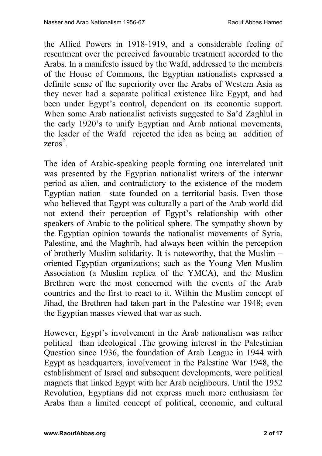the Allied Powers in 1918-1919, and a considerable feeling of resentment over the perceived favourable treatment accorded to the Arabs. In a manifesto issued by the Wafd, addressed to the members of the House of Commons, the Egyptian nationalists expressed a definite sense of the superiority over the Arabs of Western Asia as they never had a separate political existence like Egypt, and had been under Egypt's control, dependent on its economic support. When some Arab nationalist activists suggested to Sa'd Zaghlul in the early 1920's to unify Egyptian and Arab national movements, the leader of the Wafd rejected the idea as being an addition of  $zeros^2$ .

The idea of Arabic-speaking people forming one interrelated unit was presented by the Egyptian nationalist writers of the interwar period as alien, and contradictory to the existence of the modern Egyptian nation –state founded on a territorial basis. Even those who believed that Egypt was culturally a part of the Arab world did not extend their perception of Egypt's relationship with other speakers of Arabic to the political sphere. The sympathy shown by the Egyptian opinion towards the nationalist movements of Syria, Palestine, and the Maghrib, had always been within the perception of brotherly Muslim solidarity. It is noteworthy, that the Muslim – oriented Egyptian organizations; such as the Young Men Muslim Association (a Muslim replica of the YMCA), and the Muslim Brethren were the most concerned with the events of the Arab countries and the first to react to it. Within the Muslim concept of Jihad, the Brethren had taken part in the Palestine war 1948; even the Egyptian masses viewed that war as such.

However, Egypt's involvement in the Arab nationalism was rather political than ideological .The growing interest in the Palestinian Question since 1936, the foundation of Arab League in 1944 with Egypt as headquarters, involvement in the Palestine War 1948, the establishment of Israel and subsequent developments, were political magnets that linked Egypt with her Arab neighbours. Until the 1952 Revolution, Egyptians did not express much more enthusiasm for Arabs than a limited concept of political, economic, and cultural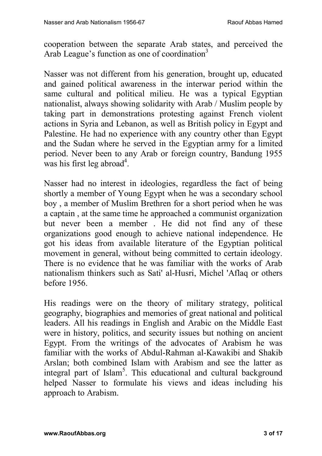cooperation between the separate Arab states, and perceived the Arab League's function as one of coordination<sup>3</sup>

Nasser was not different from his generation, brought up, educated and gained political awareness in the interwar period within the same cultural and political milieu. He was a typical Egyptian nationalist, always showing solidarity with Arab / Muslim people by taking part in demonstrations protesting against French violent actions in Syria and Lebanon, as well as British policy in Egypt and Palestine. He had no experience with any country other than Egypt and the Sudan where he served in the Egyptian army for a limited period. Never been to any Arab or foreign country, Bandung 1955 was his first leg abroad<sup>4</sup>.

Nasser had no interest in ideologies, regardless the fact of being shortly a member of Young Egypt when he was a secondary school boy , a member of Muslim Brethren for a short period when he was a captain , at the same time he approached a communist organization but never been a member . He did not find any of these organizations good enough to achieve national independence. He got his ideas from available literature of the Egyptian political movement in general, without being committed to certain ideology. There is no evidence that he was familiar with the works of Arab nationalism thinkers such as Sati' al-Husri, Michel 'Aflaq or others before 1956.

His readings were on the theory of military strategy, political geography, biographies and memories of great national and political leaders. All his readings in English and Arabic on the Middle East were in history, politics, and security issues but nothing on ancient Egypt. From the writings of the advocates of Arabism he was familiar with the works of Abdul-Rahman al-Kawakibi and Shakib Arslan; both combined Islam with Arabism and see the latter as integral part of Islam<sup>5</sup>. This educational and cultural background helped Nasser to formulate his views and ideas including his approach to Arabism.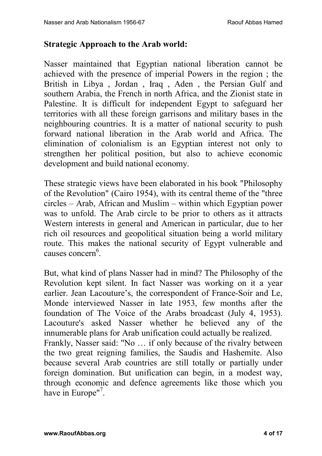#### **Strategic Approach to the Arab world:**

Nasser maintained that Egyptian national liberation cannot be achieved with the presence of imperial Powers in the region ; the British in Libya , Jordan , Iraq , Aden , the Persian Gulf and southern Arabia, the French in north Africa, and the Zionist state in Palestine. It is difficult for independent Egypt to safeguard her territories with all these foreign garrisons and military bases in the neighbouring countries. It is a matter of national security to push forward national liberation in the Arab world and Africa. The elimination of colonialism is an Egyptian interest not only to strengthen her political position, but also to achieve economic development and build national economy.

These strategic views have been elaborated in his book "Philosophy of the Revolution" (Cairo 1954), with its central theme of the "three circles – Arab, African and Muslim – within which Egyptian power was to unfold. The Arab circle to be prior to others as it attracts Western interests in general and American in particular, due to her rich oil resources and geopolitical situation being a world military route. This makes the national security of Egypt vulnerable and causes concern<sup>6</sup>.

But, what kind of plans Nasser had in mind? The Philosophy of the Revolution kept silent. In fact Nasser was working on it a year earlier. Jean Lacouture's, the correspondent of France-Soir and Le, Monde interviewed Nasser in late 1953, few months after the foundation of The Voice of the Arabs broadcast (July 4, 1953). Lacouture's asked Nasser whether he believed any of the innumerable plans for Arab unification could actually be realized. Frankly, Nasser said: "No … if only because of the rivalry between the two great reigning families, the Saudis and Hashemite. Also because several Arab countries are still totally or partially under foreign domination. But unification can begin, in a modest way, through economic and defence agreements like those which you have in Europe"<sup>7</sup>.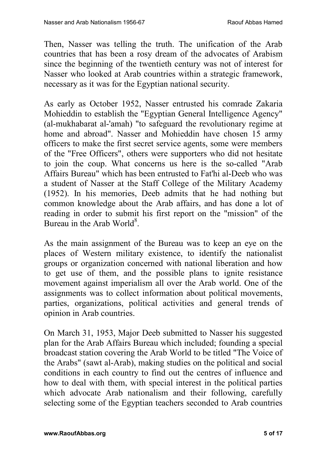Then, Nasser was telling the truth. The unification of the Arab countries that has been a rosy dream of the advocates of Arabism since the beginning of the twentieth century was not of interest for Nasser who looked at Arab countries within a strategic framework, necessary as it was for the Egyptian national security.

As early as October 1952, Nasser entrusted his comrade Zakaria Mohieddin to establish the "Egyptian General Intelligence Agency" (al-mukhabarat al-'amah) "to safeguard the revolutionary regime at home and abroad". Nasser and Mohieddin have chosen 15 army officers to make the first secret service agents, some were members of the "Free Officers", others were supporters who did not hesitate to join the coup. What concerns us here is the so-called "Arab Affairs Bureau" which has been entrusted to Fat'hi al-Deeb who was a student of Nasser at the Staff College of the Military Academy (1952). In his memories, Deeb admits that he had nothing but common knowledge about the Arab affairs, and has done a lot of reading in order to submit his first report on the "mission" of the Bureau in the Arab World<sup>8</sup>.

As the main assignment of the Bureau was to keep an eye on the places of Western military existence, to identify the nationalist groups or organization concerned with national liberation and how to get use of them, and the possible plans to ignite resistance movement against imperialism all over the Arab world. One of the assignments was to collect information about political movements, parties, organizations, political activities and general trends of opinion in Arab countries.

On March 31, 1953, Major Deeb submitted to Nasser his suggested plan for the Arab Affairs Bureau which included; founding a special broadcast station covering the Arab World to be titled "The Voice of the Arabs" (sawt al-Arab), making studies on the political and social conditions in each country to find out the centres of influence and how to deal with them, with special interest in the political parties which advocate Arab nationalism and their following, carefully selecting some of the Egyptian teachers seconded to Arab countries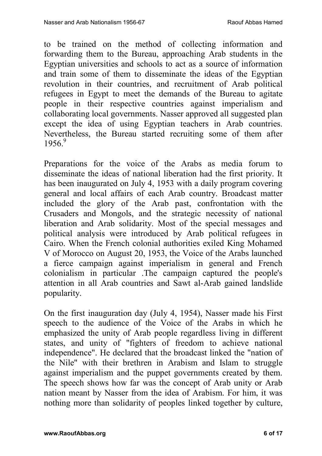to be trained on the method of collecting information and forwarding them to the Bureau, approaching Arab students in the Egyptian universities and schools to act as a source of information and train some of them to disseminate the ideas of the Egyptian revolution in their countries, and recruitment of Arab political refugees in Egypt to meet the demands of the Bureau to agitate people in their respective countries against imperialism and collaborating local governments. Nasser approved all suggested plan except the idea of using Egyptian teachers in Arab countries. Nevertheless, the Bureau started recruiting some of them after 1956. 9

Preparations for the voice of the Arabs as media forum to disseminate the ideas of national liberation had the first priority. It has been inaugurated on July 4, 1953 with a daily program covering general and local affairs of each Arab country. Broadcast matter included the glory of the Arab past, confrontation with the Crusaders and Mongols, and the strategic necessity of national liberation and Arab solidarity. Most of the special messages and political analysis were introduced by Arab political refugees in Cairo. When the French colonial authorities exiled King Mohamed V of Morocco on August 20, 1953, the Voice of the Arabs launched a fierce campaign against imperialism in general and French colonialism in particular .The campaign captured the people's attention in all Arab countries and Sawt al-Arab gained landslide popularity.

On the first inauguration day (July 4, 1954), Nasser made his First speech to the audience of the Voice of the Arabs in which he emphasized the unity of Arab people regardless living in different states, and unity of "fighters of freedom to achieve national independence". He declared that the broadcast linked the "nation of the Nile" with their brethren in Arabism and Islam to struggle against imperialism and the puppet governments created by them. The speech shows how far was the concept of Arab unity or Arab nation meant by Nasser from the idea of Arabism. For him, it was nothing more than solidarity of peoples linked together by culture,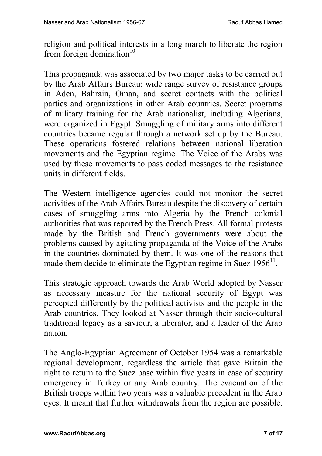religion and political interests in a long march to liberate the region from foreign domination $10$ 

This propaganda was associated by two major tasks to be carried out by the Arab Affairs Bureau: wide range survey of resistance groups in Aden, Bahrain, Oman, and secret contacts with the political parties and organizations in other Arab countries. Secret programs of military training for the Arab nationalist, including Algerians, were organized in Egypt. Smuggling of military arms into different countries became regular through a network set up by the Bureau. These operations fostered relations between national liberation movements and the Egyptian regime. The Voice of the Arabs was used by these movements to pass coded messages to the resistance units in different fields.

The Western intelligence agencies could not monitor the secret activities of the Arab Affairs Bureau despite the discovery of certain cases of smuggling arms into Algeria by the French colonial authorities that was reported by the French Press. All formal protests made by the British and French governments were about the problems caused by agitating propaganda of the Voice of the Arabs in the countries dominated by them. It was one of the reasons that made them decide to eliminate the Egyptian regime in Suez  $1956<sup>11</sup>$ .

This strategic approach towards the Arab World adopted by Nasser as necessary measure for the national security of Egypt was percepted differently by the political activists and the people in the Arab countries. They looked at Nasser through their socio-cultural traditional legacy as a saviour, a liberator, and a leader of the Arab nation.

The Anglo-Egyptian Agreement of October 1954 was a remarkable regional development, regardless the article that gave Britain the right to return to the Suez base within five years in case of security emergency in Turkey or any Arab country. The evacuation of the British troops within two years was a valuable precedent in the Arab eyes. It meant that further withdrawals from the region are possible.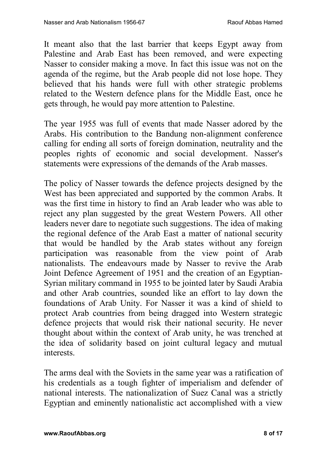It meant also that the last barrier that keeps Egypt away from Palestine and Arab East has been removed, and were expecting Nasser to consider making a move. In fact this issue was not on the agenda of the regime, but the Arab people did not lose hope. They believed that his hands were full with other strategic problems related to the Western defence plans for the Middle East, once he gets through, he would pay more attention to Palestine.

The year 1955 was full of events that made Nasser adored by the Arabs. His contribution to the Bandung non-alignment conference calling for ending all sorts of foreign domination, neutrality and the peoples rights of economic and social development. Nasser's statements were expressions of the demands of the Arab masses.

The policy of Nasser towards the defence projects designed by the West has been appreciated and supported by the common Arabs. It was the first time in history to find an Arab leader who was able to reject any plan suggested by the great Western Powers. All other leaders never dare to negotiate such suggestions. The idea of making the regional defence of the Arab East a matter of national security that would be handled by the Arab states without any foreign participation was reasonable from the view point of Arab nationalists. The endeavours made by Nasser to revive the Arab Joint Defence Agreement of 1951 and the creation of an Egyptian-Syrian military command in 1955 to be jointed later by Saudi Arabia and other Arab countries, sounded like an effort to lay down the foundations of Arab Unity. For Nasser it was a kind of shield to protect Arab countries from being dragged into Western strategic defence projects that would risk their national security. He never thought about within the context of Arab unity, he was trenched at the idea of solidarity based on joint cultural legacy and mutual interests.

The arms deal with the Soviets in the same year was a ratification of his credentials as a tough fighter of imperialism and defender of national interests. The nationalization of Suez Canal was a strictly Egyptian and eminently nationalistic act accomplished with a view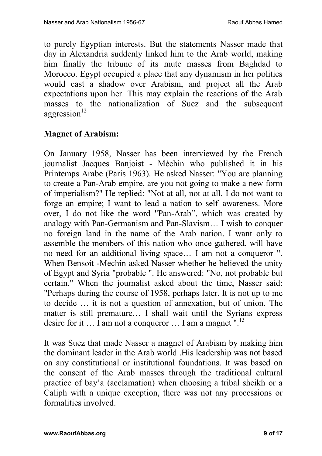to purely Egyptian interests. But the statements Nasser made that day in Alexandria suddenly linked him to the Arab world, making him finally the tribune of its mute masses from Baghdad to Morocco. Egypt occupied a place that any dynamism in her politics would cast a shadow over Arabism, and project all the Arab expectations upon her. This may explain the reactions of the Arab masses to the nationalization of Suez and the subsequent  $aggression<sup>12</sup>$ 

## **Magnet of Arabism:**

On January 1958, Nasser has been interviewed by the French journalist Jacques Banjoist - Mėchin who published it in his Printemps Arabe (Paris 1963). He asked Nasser: "You are planning to create a Pan-Arab empire, are you not going to make a new form of imperialism?" He replied: "Not at all, not at all. I do not want to forge an empire; I want to lead a nation to self–awareness. More over, I do not like the word "Pan-Arab", which was created by analogy with Pan-Germanism and Pan-Slavism… I wish to conquer no foreign land in the name of the Arab nation. I want only to assemble the members of this nation who once gathered, will have no need for an additional living space… I am not a conqueror ". When Bensoit -Mechin asked Nasser whether he believed the unity of Egypt and Syria "probable ". He answered: "No, not probable but certain." When the journalist asked about the time, Nasser said: "Perhaps during the course of 1958, perhaps later. It is not up to me to decide … it is not a question of annexation, but of union. The matter is still premature… I shall wait until the Syrians express desire for it  $\ldots$  I am not a conqueror  $\ldots$  I am a magnet ".<sup>13</sup>

It was Suez that made Nasser a magnet of Arabism by making him the dominant leader in the Arab world .His leadership was not based on any constitutional or institutional foundations. It was based on the consent of the Arab masses through the traditional cultural practice of bay'a (acclamation) when choosing a tribal sheikh or a Caliph with a unique exception, there was not any processions or formalities involved.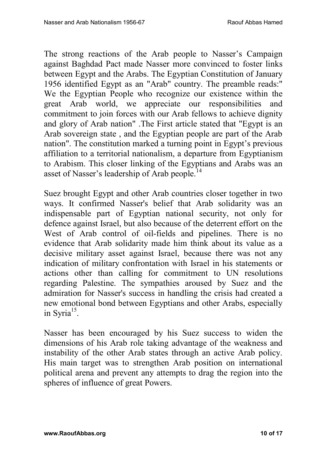The strong reactions of the Arab people to Nasser's Campaign against Baghdad Pact made Nasser more convinced to foster links between Egypt and the Arabs. The Egyptian Constitution of January 1956 identified Egypt as an "Arab" country. The preamble reads:" We the Egyptian People who recognize our existence within the great Arab world, we appreciate our responsibilities and commitment to join forces with our Arab fellows to achieve dignity and glory of Arab nation" .The First article stated that "Egypt is an Arab sovereign state , and the Egyptian people are part of the Arab nation". The constitution marked a turning point in Egypt's previous affiliation to a territorial nationalism, a departure from Egyptianism to Arabism. This closer linking of the Egyptians and Arabs was an asset of Nasser's leadership of Arab people.<sup>14</sup>

Suez brought Egypt and other Arab countries closer together in two ways. It confirmed Nasser's belief that Arab solidarity was an indispensable part of Egyptian national security, not only for defence against Israel, but also because of the deterrent effort on the West of Arab control of oil-fields and pipelines. There is no evidence that Arab solidarity made him think about its value as a decisive military asset against Israel, because there was not any indication of military confrontation with Israel in his statements or actions other than calling for commitment to UN resolutions regarding Palestine. The sympathies aroused by Suez and the admiration for Nasser's success in handling the crisis had created a new emotional bond between Egyptians and other Arabs, especially in Syria<sup>15</sup>.

Nasser has been encouraged by his Suez success to widen the dimensions of his Arab role taking advantage of the weakness and instability of the other Arab states through an active Arab policy. His main target was to strengthen Arab position on international political arena and prevent any attempts to drag the region into the spheres of influence of great Powers.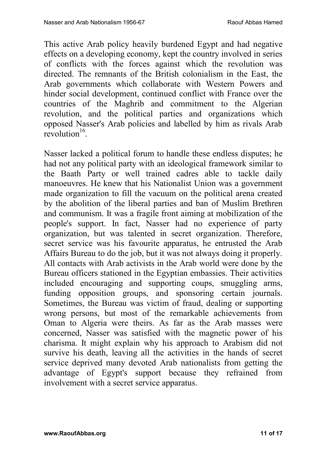This active Arab policy heavily burdened Egypt and had negative effects on a developing economy, kept the country involved in series of conflicts with the forces against which the revolution was directed. The remnants of the British colonialism in the East, the Arab governments which collaborate with Western Powers and hinder social development, continued conflict with France over the countries of the Maghrib and commitment to the Algerian revolution, and the political parties and organizations which opposed Nasser's Arab policies and labelled by him as rivals Arab revolution<sup>16</sup>.

Nasser lacked a political forum to handle these endless disputes; he had not any political party with an ideological framework similar to the Baath Party or well trained cadres able to tackle daily manoeuvres. He knew that his Nationalist Union was a government made organization to fill the vacuum on the political arena created by the abolition of the liberal parties and ban of Muslim Brethren and communism. It was a fragile front aiming at mobilization of the people's support. In fact, Nasser had no experience of party organization, but was talented in secret organization. Therefore, secret service was his favourite apparatus, he entrusted the Arab Affairs Bureau to do the job, but it was not always doing it properly. All contacts with Arab activists in the Arab world were done by the Bureau officers stationed in the Egyptian embassies. Their activities included encouraging and supporting coups, smuggling arms, funding opposition groups, and sponsoring certain journals. Sometimes, the Bureau was victim of fraud, dealing or supporting wrong persons, but most of the remarkable achievements from Oman to Algeria were theirs. As far as the Arab masses were concerned, Nasser was satisfied with the magnetic power of his charisma. It might explain why his approach to Arabism did not survive his death, leaving all the activities in the hands of secret service deprived many devoted Arab nationalists from getting the advantage of Egypt's support because they refrained from involvement with a secret service apparatus.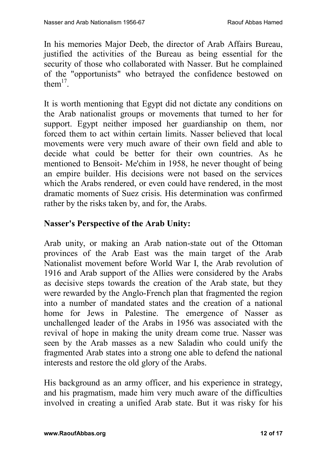In his memories Major Deeb, the director of Arab Affairs Bureau, justified the activities of the Bureau as being essential for the security of those who collaborated with Nasser. But he complained of the "opportunists" who betrayed the confidence bestowed on them $17$ .

It is worth mentioning that Egypt did not dictate any conditions on the Arab nationalist groups or movements that turned to her for support. Egypt neither imposed her guardianship on them, nor forced them to act within certain limits. Nasser believed that local movements were very much aware of their own field and able to decide what could be better for their own countries. As he mentioned to Bensoit- Me'chim in 1958, he never thought of being an empire builder. His decisions were not based on the services which the Arabs rendered, or even could have rendered, in the most dramatic moments of Suez crisis. His determination was confirmed rather by the risks taken by, and for, the Arabs.

## **Nasser's Perspective of the Arab Unity:**

Arab unity, or making an Arab nation-state out of the Ottoman provinces of the Arab East was the main target of the Arab Nationalist movement before World War I, the Arab revolution of 1916 and Arab support of the Allies were considered by the Arabs as decisive steps towards the creation of the Arab state, but they were rewarded by the Anglo-French plan that fragmented the region into a number of mandated states and the creation of a national home for Jews in Palestine. The emergence of Nasser as unchallenged leader of the Arabs in 1956 was associated with the revival of hope in making the unity dream come true. Nasser was seen by the Arab masses as a new Saladin who could unify the fragmented Arab states into a strong one able to defend the national interests and restore the old glory of the Arabs.

His background as an army officer, and his experience in strategy, and his pragmatism, made him very much aware of the difficulties involved in creating a unified Arab state. But it was risky for his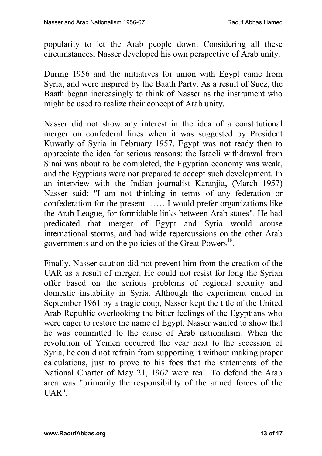popularity to let the Arab people down. Considering all these circumstances, Nasser developed his own perspective of Arab unity.

During 1956 and the initiatives for union with Egypt came from Syria, and were inspired by the Baath Party. As a result of Suez, the Baath began increasingly to think of Nasser as the instrument who might be used to realize their concept of Arab unity.

Nasser did not show any interest in the idea of a constitutional merger on confederal lines when it was suggested by President Kuwatly of Syria in February 1957. Egypt was not ready then to appreciate the idea for serious reasons: the Israeli withdrawal from Sinai was about to be completed, the Egyptian economy was weak, and the Egyptians were not prepared to accept such development. In an interview with the Indian journalist Karanjia, (March 1957) Nasser said: "I am not thinking in terms of any federation or confederation for the present …… I would prefer organizations like the Arab League, for formidable links between Arab states". He had predicated that merger of Egypt and Syria would arouse international storms, and had wide repercussions on the other Arab governments and on the policies of the Great Powers<sup>18</sup>.

Finally, Nasser caution did not prevent him from the creation of the UAR as a result of merger. He could not resist for long the Syrian offer based on the serious problems of regional security and domestic instability in Syria. Although the experiment ended in September 1961 by a tragic coup, Nasser kept the title of the United Arab Republic overlooking the bitter feelings of the Egyptians who were eager to restore the name of Egypt. Nasser wanted to show that he was committed to the cause of Arab nationalism. When the revolution of Yemen occurred the year next to the secession of Syria, he could not refrain from supporting it without making proper calculations, just to prove to his foes that the statements of the National Charter of May 21, 1962 were real. To defend the Arab area was "primarily the responsibility of the armed forces of the UAR".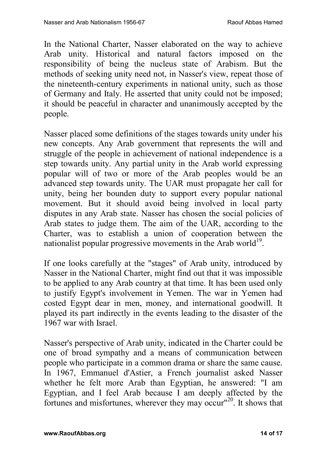In the National Charter, Nasser elaborated on the way to achieve Arab unity. Historical and natural factors imposed on the responsibility of being the nucleus state of Arabism. But the methods of seeking unity need not, in Nasser's view, repeat those of the nineteenth-century experiments in national unity, such as those of Germany and Italy. He asserted that unity could not be imposed; it should be peaceful in character and unanimously accepted by the people.

Nasser placed some definitions of the stages towards unity under his new concepts. Any Arab government that represents the will and struggle of the people in achievement of national independence is a step towards unity. Any partial unity in the Arab world expressing popular will of two or more of the Arab peoples would be an advanced step towards unity. The UAR must propagate her call for unity, being her bounden duty to support every popular national movement. But it should avoid being involved in local party disputes in any Arab state. Nasser has chosen the social policies of Arab states to judge them. The aim of the UAR, according to the Charter, was to establish a union of cooperation between the nationalist popular progressive movements in the Arab world $^{19}$ .

If one looks carefully at the "stages" of Arab unity, introduced by Nasser in the National Charter, might find out that it was impossible to be applied to any Arab country at that time. It has been used only to justify Egypt's involvement in Yemen. The war in Yemen had costed Egypt dear in men, money, and international goodwill. It played its part indirectly in the events leading to the disaster of the 1967 war with Israel.

Nasser's perspective of Arab unity, indicated in the Charter could be one of broad sympathy and a means of communication between people who participate in a common drama or share the same cause. In 1967, Emmanuel d'Astier, a French journalist asked Nasser whether he felt more Arab than Egyptian, he answered: "I am Egyptian, and I feel Arab because I am deeply affected by the fortunes and misfortunes, wherever they may occur<sup>"20</sup>. It shows that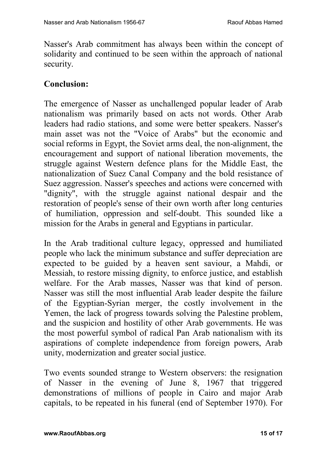Nasser's Arab commitment has always been within the concept of solidarity and continued to be seen within the approach of national security.

# **Conclusion:**

The emergence of Nasser as unchallenged popular leader of Arab nationalism was primarily based on acts not words. Other Arab leaders had radio stations, and some were better speakers. Nasser's main asset was not the "Voice of Arabs" but the economic and social reforms in Egypt, the Soviet arms deal, the non-alignment, the encouragement and support of national liberation movements, the struggle against Western defence plans for the Middle East, the nationalization of Suez Canal Company and the bold resistance of Suez aggression. Nasser's speeches and actions were concerned with "dignity", with the struggle against national despair and the restoration of people's sense of their own worth after long centuries of humiliation, oppression and self-doubt. This sounded like a mission for the Arabs in general and Egyptians in particular.

In the Arab traditional culture legacy, oppressed and humiliated people who lack the minimum substance and suffer depreciation are expected to be guided by a heaven sent saviour, a Mahdi, or Messiah, to restore missing dignity, to enforce justice, and establish welfare. For the Arab masses, Nasser was that kind of person. Nasser was still the most influential Arab leader despite the failure of the Egyptian-Syrian merger, the costly involvement in the Yemen, the lack of progress towards solving the Palestine problem, and the suspicion and hostility of other Arab governments. He was the most powerful symbol of radical Pan Arab nationalism with its aspirations of complete independence from foreign powers, Arab unity, modernization and greater social justice.

Two events sounded strange to Western observers: the resignation of Nasser in the evening of June 8, 1967 that triggered demonstrations of millions of people in Cairo and major Arab capitals, to be repeated in his funeral (end of September 1970). For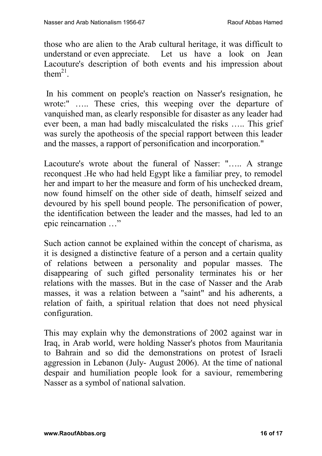those who are alien to the Arab cultural heritage, it was difficult to understand or even appreciate. Let us have a look on Jean Lacouture's description of both events and his impression about them $^{21}$ .

In his comment on people's reaction on Nasser's resignation, he wrote:" ….. These cries, this weeping over the departure of vanquished man, as clearly responsible for disaster as any leader had ever been, a man had badly miscalculated the risks ….. This grief was surely the apotheosis of the special rapport between this leader and the masses, a rapport of personification and incorporation."

Lacouture's wrote about the funeral of Nasser: "….. A strange reconquest .He who had held Egypt like a familiar prey, to remodel her and impart to her the measure and form of his unchecked dream, now found himself on the other side of death, himself seized and devoured by his spell bound people. The personification of power, the identification between the leader and the masses, had led to an epic reincarnation …"

Such action cannot be explained within the concept of charisma, as it is designed a distinctive feature of a person and a certain quality of relations between a personality and popular masses. The disappearing of such gifted personality terminates his or her relations with the masses. But in the case of Nasser and the Arab masses, it was a relation between a "saint" and his adherents, a relation of faith, a spiritual relation that does not need physical configuration.

This may explain why the demonstrations of 2002 against war in Iraq, in Arab world, were holding Nasser's photos from Mauritania to Bahrain and so did the demonstrations on protest of Israeli aggression in Lebanon (July- August 2006). At the time of national despair and humiliation people look for a saviour, remembering Nasser as a symbol of national salvation.